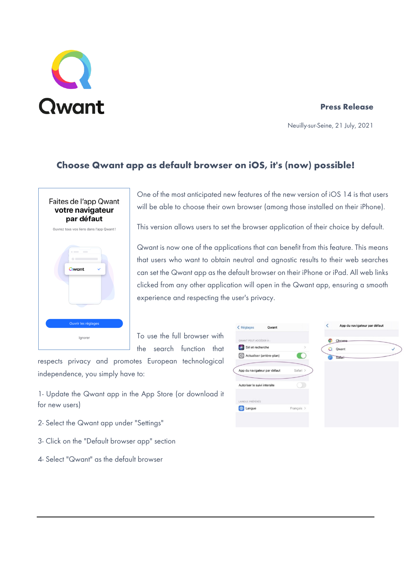# Qwant

# **Press Release**

Neuilly-sur-Seine, 21 July, 2021

# **Choose Qwant app as default browser on iOS, it's (now) possible!**



One of the most anticipated new features of the new version of iOS 14 is that users will be able to choose their own browser (among those installed on their iPhone).

This version allows users to set the browser application of their choice by default.

Qwant is now one of the applications that can benefit from this feature. This means that users who want to obtain neutral and agnostic results to their web searches can set the Qwant app as the default browser on their iPhone or iPad. All web links clicked from any other application will open in the Qwant app, ensuring a smooth experience and respecting the user's privacy.

To use the full browser with the search function that

respects privacy and promotes European technological independence, you simply have to:

1- Update the Qwant app in the App Store (or download it for new users)

- 2- Select the Qwant app under "Settings"
- 3- Click on the "Default browser app" section
- 4- Select "Qwant" as the default browser

| < Réglages<br>Qwant          |               | App du navigateur par défaut |
|------------------------------|---------------|------------------------------|
| QWANT PEUT ACCÉDER À :       |               | Chrome                       |
| Siri et recherche            | $\mathcal{P}$ | Qwant<br>$\checkmark$<br>u   |
| Actualiser (arrière-plan)    |               | Safari                       |
| App du navigateur par défaut | Safari >      |                              |
| Autoriser le suivi intersite |               |                              |
| LANGUE PRÉFÉRÉE              |               |                              |
|                              |               |                              |